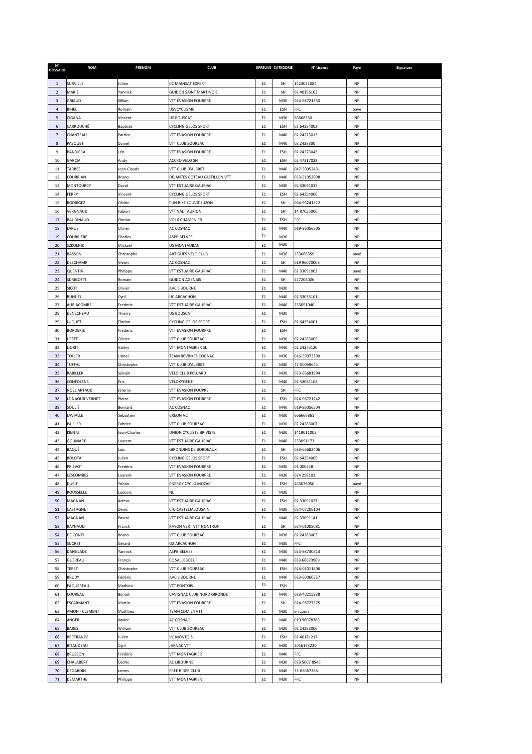| <b>DOSSARD</b>   | <b>NOM</b>                  | <b>PRENOM</b>         | <b>CLUB</b>                                       |          | <b>EPREUVE CATEGORIE</b> | N° Licence                   | Payé                   | Signature |
|------------------|-----------------------------|-----------------------|---------------------------------------------------|----------|--------------------------|------------------------------|------------------------|-----------|
| $\mathbf 1$      | SURVILLE                    | Julien                | CC MAINSAT EXPERT                                 | E1       | SH                       | 1423031084                   | NP                     |           |
| $\overline{2}$   | MARIÉ                       | Yannick               | <b>GUIDON SAINT MARTINOIS</b>                     | E1       | SH                       | 02 40156162                  | NP                     |           |
| 3                | GRIAUD                      | Killian               | VTT EVASION POURPRE                               | E1       | M30                      | 024-98721950                 | NP                     |           |
| 4                | BIHEL                       | Romain                | <b>JSVCYCLISME</b>                                | E1       | ESH                      | FFC                          | payé                   |           |
| 5                | CIGANA                      | Vincent               | US BOUSCAT                                        | E1       | M30                      | 66668350                     | <b>NP</b>              |           |
| $\boldsymbol{6}$ | CARROUCHÉ                   | Baptiste              | CYCLING GELOS SPORT                               | E1       | ESH                      | 02 64354003                  | <b>NP</b>              |           |
| $\overline{7}$   | CHANTEAU                    | Patrice               | VTT EVASION POURPRE                               | E1       | M40                      | 02 24273013                  | NP                     |           |
| $\bf8$           | PASQUET                     | Daniel                | VTT CLUB SOURZAC                                  | E1       | M40                      | 02 2428300                   | NP                     |           |
| 9                | BANDIERA                    | Léo                   | VTT EVASION POURPRE                               | E1       | ESH                      | 02 24273043                  | NP                     |           |
| 10<br>11         | GARCIA<br><b>TARBES</b>     | Andy<br>Jean-Claude   | <b>ACCRO VELO SN</b><br>VTT CLUB D'ALBRET         | E1<br>E1 | ESH<br>M40               | 02 47217022<br>047-50052431  | NP<br>NP               |           |
| 12               | <b>COURRIAN</b>             | Bruno                 | DEJANTES COTEAU CASTILLON VTT                     | E1       | M40                      | 033-51052098                 | <b>NP</b>              |           |
| 13               | <b>MONTOURCY</b>            | David                 | VTT ESTUAIRE GAURIAC                              | E1       | M30                      | 02 33091017                  | NP                     |           |
| 14               | FERRY                       | Vincent               | <b>CYCLING GELOS SPORT</b>                        | E1       | ESH                      | 02 64354006                  | NP                     |           |
| 15               | RODRIGEZ                    | Cédric                | UN BIKE LOUVIE JUZON                              | E1       | SH                       | 064-96241512                 | NP                     |           |
| 16               | VERGNAUD                    | Fabien                | VTT VAL TAURION                                   | E1       | SH                       | 14 87055006                  | NP                     |           |
| 17               | BAUDINAUD                   | Florian               | VO16 CHAMPNIER                                    | E1       | ESH                      | <b>FFC</b>                   | <b>NP</b>              |           |
| 18               | LARUE                       | Olivier               | AC COSNAC                                         | E1       | M40                      | 019-96056505                 | NP                     |           |
| 19               | COURRIERE                   | Charles               | <b>ASPB BELVES</b>                                | E1       | M30                      |                              | NP                     |           |
| 20               | SZKOLNIK                    | Mickaël               | <b>JS MONTAUBAN</b>                               | E1       | M30                      |                              | NP                     |           |
| 21               | BASSON                      | Christophe            | ARTIGUES VELO CLUB<br>AC COSNAC                   | E1       | M30                      | 233066359<br>019 96070008    | payé                   |           |
| 22<br>23         | <b>DESCHAMP</b><br>QUENTIN  | Vivien<br>Philippe    | VTT ESTUAIRE GAURIAC                              | E1<br>E1 | SH<br>M40                | 02 33091062                  | NP                     |           |
| 24               | SDRIGOTTI                   | Romain                | <b>GUIDON AGENAIS</b>                             | E1       | SH                       | 247208026                    | payé<br><b>NP</b>      |           |
| 25               | SICOT                       | Olivier               | <b>AVC LIBOURNE</b>                               | E1       | M30                      |                              | NP                     |           |
| 26               | <b>BUNUEL</b>               | Cyril                 | <b>JC ARCACHON</b>                                | E1       | M40                      | 02 33036101                  | NP                     |           |
| 27               | AURIACOMBE                  | Frederic              | VTT ESTUAIRE GAURIAC                              | E1       | M40                      | 233091040                    | NP                     |           |
| 28               | DENECHEAU                   | Thierry               | <b>JS BOUSCAT</b>                                 | E1       | M30                      |                              | NP                     |           |
| 29               | LUQUET                      | Florian               | <b>CYCLING GELOS SPORT</b>                        | E1       | ESH                      | 02 64354001                  | <b>NP</b>              |           |
| 30               | <b>BORDERIE</b>             | Frédéric              | VTT EVASION POURPRE                               | E1       | ESH                      |                              | <b>NP</b>              |           |
| 31               | LOSTE                       | Olivier               | VTT CLUB SOURZAC                                  | E1       | M30                      | 02 24283005                  | NP                     |           |
| 32               | LIORIT                      | Valéry                | VTT MONTAGRIER SL                                 | E1       | M40                      | 02 24275120                  | NP                     |           |
| 33               | TOLLER                      | Lionel                | TEAM REVBIKES COGNAC                              | E1       | M30                      | 016-59073390                 | NP                     |           |
| 34<br>35         | TUFFAL<br>RABILLER          | Christophe<br>Sylvain | VTT CLUB D'ALBRET<br>VELO CLUB PEUJARD            | E1<br>E1 | M30<br>M30               | 47-50059645<br>033-66681994  | NP<br><b>NP</b>        |           |
| 36               | CONFOLENS                   | Éric                  | VELOXYGENE                                        | E1       | M40                      | 02 33081103                  | <b>NP</b>              |           |
| 37               | NOEL ARTAUD                 | Jéremy                | <b>VTT EVASION POUPRE</b>                         | E1       | SH                       | FFC                          | NP                     |           |
| 38               | LE NAOUR VERNET             | Pierre                | VTT EVASION POURPRE                               | E1       | ESH                      | 024-98721242                 | NP                     |           |
| 39               | SOULIÉ                      | Bernard               | AC COSNAC                                         | E1       | M40                      | 019-96056504                 | NP                     |           |
| 40               | LAVIALLE                    | Sébastien             | CREON VC                                          | E1       | M30                      | 666666861                    | NP                     |           |
| 41               | PAILLER                     | Fabrice               | VTT CLUB SOURZAC                                  | E1       | M30                      | 02 24283007                  | <b>NP</b>              |           |
| 42               | KIENTZ                      | Jean-Charles          | UNION CYCLISTE BRIVISTE                           | E1       | M30                      | 1419011002                   | <b>NP</b>              |           |
| 43               | GOUMARD                     | Laurent               | VTT ESTUAIRE GAURIAC                              | E1       | M40                      | 233091173                    | NP                     |           |
| 44               | BAQUÉ                       | Loic                  | <b>GIRONDINS DE BORDEAUX</b>                      | E1       | <b>SH</b>                | 033-66682406                 | NP                     |           |
| 45<br>46         | <b>BOLOTA</b>               | Julien<br>Frédéric    | <b>CYCLING GELOS SPORT</b>                        | E1       | <b>ESH</b>               | 02 64354005<br>01 000548     | <b>NP</b><br><b>NP</b> |           |
| 47               | PR ÉVOT<br>LESCOMBES        | Laurent               | <b>VTT EVASION POURPRE</b><br>VTT EVASION POURPRE | E1<br>E1 | M30<br>M30               | 024 258101                   | <b>NP</b>              |           |
| 48               | <b>DURIF</b>                | Yohan                 | ENERGY CYCLO MOZAC                                | E1       | ESH                      | 463076050                    | payé                   |           |
| 49               | ROUSSELLE                   | Ludovic               | NL                                                | E1       | M30                      |                              | NP                     |           |
| 50               | MAGNAN                      | Arthur                | VTT ESTUAIRE GAURIAC                              | E1       | ESH                      | 02 33091027                  | NP                     |           |
| 51               | CASTAGNET                   | Denis                 | C-C-CASTELJALOUSAIN                               | E1       | M30                      | 024-07206104                 | NP                     |           |
| 52               | MAGNAN                      | Pascal                | VTT ESTUAIRE GAURIAC                              | E1       | M40                      | 02 33091141                  | NP                     |           |
| 53               | RAYNAUD                     | Franck                | RAYON VERT VTT NONTRON                            | E1       | SH                       | 024-01008081                 | <b>NP</b>              |           |
| 54               | DE CONTI                    | Bruno                 | VTT CLUB SOURZAC                                  | E1       | M30                      | 02 24283003                  | NP                     |           |
| 55               | <b>SUCRET</b>               | Gérard                | 02 ARCACHON                                       | E1       | M30                      | FFC                          | NP                     |           |
| 56<br>57         | DANGLADE<br>GUEREAU         | Yannick<br>Françis    | ASPB BELVES<br>CC SALLEBOEUF                      | E1<br>E1 | M30<br>M40               | 024-98730813<br>033 66673969 | NP<br>NP               |           |
| 58               | TERET                       | Christophe            | VTT CLUB SOURZAC                                  | E1       | ESH                      | 024-01011806                 | NP                     |           |
| 59               | <b>BRUDY</b>                | Fédéric               | AVC LIBOURNE                                      | E1       | M40                      | 033-60060557                 | NP                     |           |
| 60               | PAQUEREAU                   | Mathieu               | VTT PONTOIS                                       | E1       | ESH                      |                              | NP                     |           |
| 61               | COUREAU                     | Benoit                | CAVIGNAC CLUB NORD GIRONDE                        | E1       | M40                      | 033-40215938                 | NP                     |           |
| 62               | ESCARMANT                   | Martin                | VTT EVASION POURPRE                               | E1       | SH                       | 024-98727375                 | NP                     |           |
| 63               | AMON - CLEMENT              | Matthieu              | TEAM CDM 24 VTT                                   | E1       | M30                      | en cours                     | NP                     |           |
| 64               | ANGER                       | Xavier                | AC COSNAC                                         | E1       | M40                      | 019 96078385                 | NP                     |           |
| 65               | <b>BARES</b>                | William               | VTT CLUB SOURZAC                                  | E1       | M30                      | 02 24283006                  | NP                     |           |
| 66               | <b>BERTRANDE</b>            | Julien                | <b>VC MONTOIS</b>                                 | E1       | ESH                      | 02 40171217                  | NP                     |           |
| 67               | <b>BITAUDEAU</b>            | Cyril                 | <b>ARNAC VTT</b>                                  | E1       | M30                      | 2016173220                   | NP                     |           |
| 68<br>69         | <b>BRUSSON</b><br>CHALABERT | Frédéric<br>Cédric    | <b>VTT MONTAGRIER</b><br>AC LIBOURNE              | E1<br>E1 | M40<br>M30               | FFC<br>033 5007 8545         | NP<br>NP               |           |
| 70               | DEGARDIN                    | James                 | FREE RIDER CLUB                                   | E1       | M40                      | 33-66667386                  | NP                     |           |
| $71\,$           | DEMARTHE                    | Philippe              | <b>VTT MONTAGRIER</b>                             | E1       | M30                      | FFC                          | ΝP                     |           |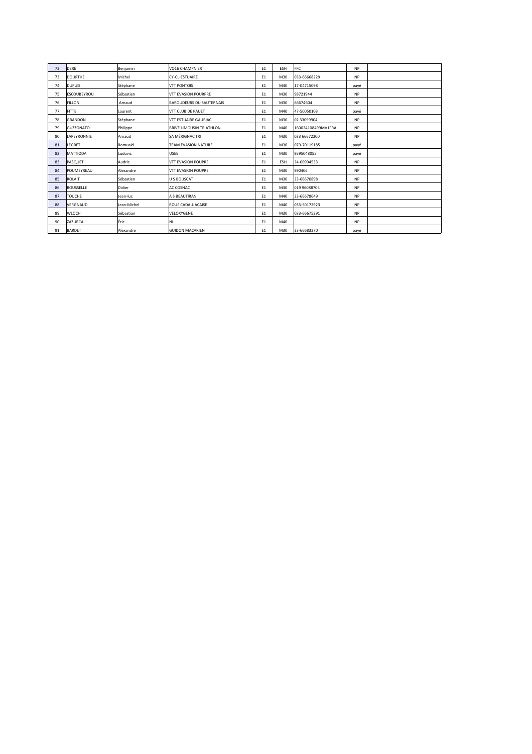| 72 | DERE             | Beniamin    | VO16 CHAMPNIFR                  | E1 | ESH | <b>FFC</b>         | <b>NP</b> |  |
|----|------------------|-------------|---------------------------------|----|-----|--------------------|-----------|--|
| 73 | <b>DOURTHE</b>   | Michel      | CY-CL-ESTUAIRE                  | E1 | M30 | 033-66668229       | <b>NP</b> |  |
| 74 | <b>DUPUIS</b>    | Stéphane    | <b>VTT PONTOIS</b>              | E1 | M40 | 17-04715098        | payé      |  |
| 75 | ESCOUBEYROU      | Sébastien   | <b>VTT EVASION POURPRE</b>      | E1 | M30 | 98721944           | <b>NP</b> |  |
| 76 | <b>FILLON</b>    | Arnaud      | <b>BAROUDEURS DU SAUTERNAIS</b> | E1 | M30 | 66674604           | <b>NP</b> |  |
| 77 | <b>FITTE</b>     | Laurent     | VTT CLUB DE PAUET               | E1 | M40 | 47-50050103        | payé      |  |
| 78 | <b>GRANDON</b>   | Stéphane    | VTT ESTUAIRE GAURIAC            | E1 | M30 | 02 33099904        | <b>NP</b> |  |
| 79 | <b>GUZZONATO</b> | Philippe    | <b>BRIVE LIMOUSIN TRIATHLON</b> | E1 | M40 | 160024108499MV1FRA | <b>NP</b> |  |
| 80 | LAPEYRONNIE      | Arnaud      | SA MÉRIGNAC TRI                 | E1 | M30 | 033 66672200       | <b>NP</b> |  |
| 81 | LEGRET           | Romuald     | TEAM EVASION NATURE             | E1 | M30 | 079-70119185       | payé      |  |
| 82 | MATTIODA         | Ludovic     | <b>USEE</b>                     | E1 | M30 | 9595048055         | payé      |  |
| 83 | PASQUET          | Audric      | <b>VTT EVASION POUPRE</b>       | E1 | ESH | 24-00994533        | <b>NP</b> |  |
| 84 | POUMEYREAU       | Alexandre   | <b>VTT EVASION POUPRE</b>       | E1 | M30 | 990406             | <b>NP</b> |  |
| 85 | ROLAIT           | Sébastien   | <b>U S BOUSCAT</b>              | E1 | M30 | 33-66670898        | <b>NP</b> |  |
| 86 | ROUSSELLE        | Didier      | AC COSNAC                       | E1 | M30 | 019 96088705       | <b>NP</b> |  |
| 87 | TOUCHE           | Jean-luc    | A S BEAUTIRAN                   | E1 | M40 | 33-66678649        | <b>NP</b> |  |
| 88 | VERGNAUD         | Jean-Michel | ROUE CADAUJACAISE               | E1 | M40 | 033-50172923       | <b>NP</b> |  |
| 89 | WLOCH            | Sébastian   | VELOXYGENE                      | E1 | M30 | 033-66675291       | <b>NP</b> |  |
| 90 | ZAZURCA          | lÉric       | <b>NL</b>                       | E1 | M40 |                    | <b>NP</b> |  |
| 91 | <b>BARDET</b>    | Alexandre   | <b>GUIDON MACARIEN</b>          | E1 | M30 | 33-66683370        | payé      |  |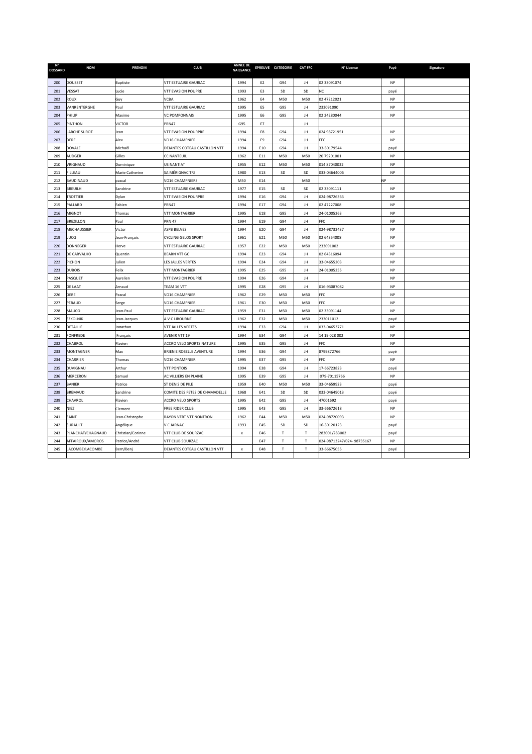| $N^{\circ}$<br><b>DOSSARD</b> | <b>NOM</b>          | <b>PRENOM</b>     | <b>CLUB</b>                     | <b>ANNEE DE</b><br><b>NAISSANCE</b> |                | EPREUVE CATEGORIE | <b>CAT FFC</b> | N° Licence                | Payé      | Signature |
|-------------------------------|---------------------|-------------------|---------------------------------|-------------------------------------|----------------|-------------------|----------------|---------------------------|-----------|-----------|
| 200                           | DOUSSET             | <b>Baptiste</b>   | VTT ESTUAIRE GAURIAC            | 1994                                | E <sub>2</sub> | G94               | JH             | 02 33091074               | NP        |           |
| 201                           | VESSAT              | Lucie             | <b>VTT EVASION POUPRE</b>       | 1993                                | E3             | SD                | SD             | NC                        | payé      |           |
| 202                           | ROUX                | Guy               | VCBA                            | 1962                                | E4             | M50               | M50            | 02 47212021               | <b>NP</b> |           |
| 203                           | VANRENTERGHE        | Paul              | VTT ESTUAIRE GAURIAC            | 1995                                | E5             | G95               | JH             | 233091090                 | <b>NP</b> |           |
| 204                           | PHILIP              | Maxime            | VC POMPONNAIS                   | 1995                                | E6             | G95               | JH             | 02 24280044               | <b>NP</b> |           |
| 205                           | PINTHON             | <b>VICTOR</b>     | <b>PRN47</b>                    | G95                                 | E7             |                   | JH             |                           |           |           |
| 206                           | <b>LARCHE SUROT</b> | Jean              | VTT EVASION POURPRE             | 1994                                | E8             | G94               | JH             | 024 98721951              | NP        |           |
| 207                           | DERE                | Alex              | VO16 CHAMPNIER                  | 1994                                | E9             | G94               | JH             | FFC                       | NP        |           |
| 208                           | DOVALE              | Michaêl           | DEJANTES COTEAU CASTILLON VTT   | 1994                                | E10            | G94               | JH             | 33-50179544               | payé      |           |
| 209                           | AUDGER              | Gilles            | <b>CC NANTEUIL</b>              | 1962                                | E11            | M50               | M50            | 20 79201001               | <b>NP</b> |           |
| 210                           | VRIGNAUD            | Dominique         | <b>US NANTIAT</b>               | 1955                                | E12            | M50               | M50            | 014 87040022              | <b>NP</b> |           |
| 211                           | FILLEAU             | Marie Catherine   | SA MÉRIGNAC TRI                 | 1980                                | E13            | SD                | SD             | 033-04644006              | $\sf NP$  |           |
| 212                           | BAUDINAUD           | pascal            | VO16 CHAMPNIERS                 | M50                                 | E14            |                   | M50            |                           | <b>NP</b> |           |
| 213                           | BREUILH             | Sandrine          | VTT ESTUAIRE GAURIAC            | 1977                                | E15            | SD                | SD             | 02 33091111               | NP        |           |
| 214                           | <b>TROTTIER</b>     | Dylan             | VTT EVASION POURPRE             | 1994                                | E16            | G94               | JH             | 024-98726363              | NP        |           |
| 215                           | PALLARD             | Fabien            | PRN47                           | 1994                                | E17            | G94               | JH             | 02 47227008               | <b>NP</b> |           |
| 216                           | MIGNOT              | Thomas            | <b>VTT MONTAGRIER</b>           | 1995                                | E18            | G95               | JH             | 24-01005263               | <b>NP</b> |           |
| 217                           | <b>BREZILLON</b>    | Paul              | <b>PRN 47</b>                   | 1994                                | E19            | G94               | JH             | FFC                       | <b>NP</b> |           |
| 218                           | MECHAUSSIER         | Victor            | ASPB BELVES                     | 1994                                | E20            | G94               | JH             | 024-98732437              | <b>NP</b> |           |
| 219                           | LUCQ                | Jean-François     | CYCLING GELOS SPORT             | 1961                                | E21            | M50               | M50            | 02 64354008               | <b>NP</b> |           |
| 220                           | <b>DONNEGER</b>     | Herve             | VTT ESTUAIRE GAURIAC            | 1957                                | E22            | M50               | M50            | 233091002                 | NP        |           |
| 221                           | DE CARVALHO         | Quentin           | <b>BEARN VTT GC</b>             | 1994                                | E23            | G94               | JH             | 02 64316094               | NP        |           |
| 222                           | PICHON              | Julien            | LES JALLES VERTES               | 1994                                | E24            | G94               | JH             | 33-04655203               | NP        |           |
| 223                           | <b>DUBOIS</b>       | Felix             | <b>VTT MONTAGRIER</b>           | 1995                                | E25            | G95               | JH             | 24-01005255               | <b>NP</b> |           |
| 224                           | PASQUET             | Aurelien          | VTT EVASION POUPRE              | 1994                                | E26            | G94               | JH             |                           | <b>NP</b> |           |
| 225                           | DE LAAT             | Arnaud            | TEAM 16 VTT                     | 1995                                | E28            | G95               | JH             | 016-93087082              | <b>NP</b> |           |
| 226                           | DERE                | Pascal            | VO16 CHAMPNIER                  | 1962                                | E29            | M50               | M50            | FFC                       | <b>NP</b> |           |
| 227                           | PERAUD              | Serge             | VO16 CHAMPNIER                  | 1961                                | E30            | M50               | M50            | FFC                       | <b>NP</b> |           |
| 228                           | MAUCO               | Jean-Paul         | VTT ESTUAIRE GAURIAC            | 1959                                | E31            | M50               | M50            | 02 33091144               | <b>NP</b> |           |
| 229                           | <b>SZKOLNIK</b>     | Jean-Jacques      | A V C LIBOURNE                  | 1962                                | E32            | M50               | M50            | 233011012                 | payé      |           |
| 230                           | DETAILLE            | lonathan          | VTT JALLES VERTES               | 1994                                | E33            | G94               | JH             | 033-04653771              | <b>NP</b> |           |
| 231                           | <b>FONFREDE</b>     | François          | AVENIR VTT 19                   | 1994                                | E34            | G94               | JH             | 14 19 028 002             | <b>NP</b> |           |
| 232                           | CHABROL             | Flavien           | ACCRO VELO SPORTS NATURE        | 1995                                | E35            | G95               | JH             | FFC                       | <b>NP</b> |           |
| 233                           | <b>MONTAGNER</b>    | Max               | <b>BRIENIE ROSELLE AVENTURE</b> | 1994                                | E36            | G94               | JH             | 8799872766                | payé      |           |
| 234                           | CHARRIER            | Thomas            | VO16 CHAMPNIER                  | 1995                                | E37            | G95               | JH             | FFC                       | <b>NP</b> |           |
| 235                           | DUVIGNAU            | Arthur            | <b>VTT PONTOIS</b>              | 1994                                | E38            | G94               | JH             | 17-66723823               | payé      |           |
| 236                           | <b>MERCERON</b>     | Samuel            | AC VILLIERS EN PLAINE           | 1995                                | E39            | G95               | JH             | 079-70115766              | <b>NP</b> |           |
| 237                           | <b>BANIER</b>       | Patrice           | ST DENIS DE PILE                | 1959                                | E40            | M50               | M50            | 33-04659923               | payé      |           |
| 238                           | <b>BREMAUD</b>      | Sandrine          | COMITE DES FETES DE CHAMADELLE  | 1968                                | E41            | SD                | SD             | 033-04649013              | payé      |           |
| 239                           | CHAVROL             | Flavien           | <b>ACCRO VELO SPORTS</b>        | 1995                                | E42            | G95               | JH             | 47001692                  | payé      |           |
| 240                           | NIEZ                | Clement           | FREE RIDER CLUB                 | 1995                                | E43            | G95               | JH             | 33-66672618               | <b>NP</b> |           |
| 241                           | SAINT               | Jean-Christophe   | RAYON VERT VTT NONTRON          | 1962                                | E44            | M50               | M50            | 024-98720093              | <b>NP</b> |           |
| 242                           | SURAULT             | Angélique         | V C JARNAC                      | 1993                                | E45            | SD                | SD             | 16-30120123               | payé      |           |
| 243                           | PLANCHAT/CHAGNAUD   | Christian/Corinne | VTT CLUB DE SOURZAC             | $\mathbf{x}$                        | E46            | т                 | т              | 283001/283002             | payé      |           |
| 244                           | AFFAIROUX/AMOROS    | Patrice/André     | VTT CLUB SOURZAC                |                                     | E47            | т                 | T              | 024-98713247/024-98735167 | NP        |           |
| 245                           | LACOMBE/LACOMBE     | Bern/Benj         | DEJANTES COTEAU CASTILLON VTT   | x                                   | E48            | $\mathsf T$       | T              | 33-66675055               | payé      |           |
|                               |                     |                   |                                 |                                     |                |                   |                |                           |           |           |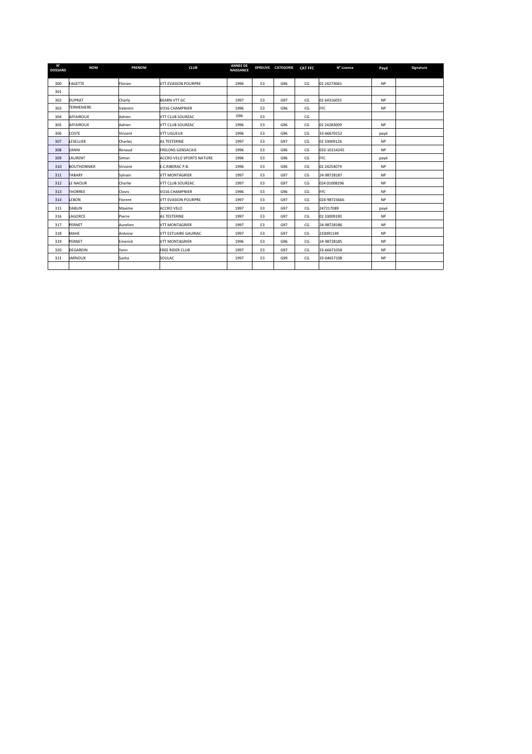| $N^{\circ}$<br><b>DOSSARD</b> | <b>NOM</b>         | <b>PRENOM</b> | <b>CLUB</b>              | <b>ANNEE DE</b><br><b>NAISSANCE</b> |                | EPREUVE CATEGORIE | <b>CAT FFC</b> | N° Licence   | Payé      | Signature |
|-------------------------------|--------------------|---------------|--------------------------|-------------------------------------|----------------|-------------------|----------------|--------------|-----------|-----------|
| 300                           | FAGETTE            | Florian       | VTT EVASION POURPRE      | 1996                                | E3             | G96               | CG             | 02 24273065  | <b>NP</b> |           |
| 301                           |                    |               |                          |                                     |                |                   |                |              |           |           |
| 302                           | <b>DUPRAT</b>      | Charly        | <b>BEARN VTT GC</b>      | 1997                                | E <sub>3</sub> | G97               | CG             | 02 6431 6055 | <b>NP</b> |           |
| 303                           | <b>TERMENIERE</b>  | Valentin      | VO16 CHAMPNIER           | 1996                                | E <sub>3</sub> | G96               | CG             | <b>FFC</b>   | <b>NP</b> |           |
| 304                           | <b>AFFAIROUX</b>   | Adrien        | VTT CLUB SOURZAC         | G96                                 | E <sub>3</sub> |                   | CG             |              |           |           |
| 305                           | AFFAIROUX          | Adrien        | VTT CLUB SOURZAC         | 1996                                | E3             | G96               | CG             | 02 24283009  | <b>NP</b> |           |
| 306                           | <b>COSTE</b>       | Vincent       | VTT LIGUEUX              | 1996                                | E <sub>3</sub> | G96               | CG             | 33-66670152  | payé      |           |
| 307                           | LESELLIER          | Charles       | AS TESTERINE             | 1997                                | E3             | G97               | CG             | 02 33009126  | <b>NP</b> |           |
| 308                           | <b>ZANNI</b>       | Renaud        | <b>FRELONS GENSACAIS</b> | 1996                                | E3             | G96               | CG             | 033-10154245 | <b>NP</b> |           |
| 309                           | LAURENT            | Simon         | ACCRO VELO SPORTS NATURE | 1996                                | E <sub>3</sub> | G96               | CG             | <b>FFC</b>   | payé      |           |
| 310                           | <b>BOUTHONNIER</b> | Vincent       | E.C.RIBERAC P.B.         | 1996                                | E <sub>3</sub> | G96               | CG             | 02 24254079  | <b>NP</b> |           |
| 311                           | <b>TABARY</b>      | Sylvain       | <b>VTT MONTAGRIER</b>    | 1997                                | E <sub>3</sub> | G97               | CG             | 24-98728187  | <b>NP</b> |           |
| 312                           | LE NAOUR           | Charlie       | VTT CLUB SOURZAC         | 1997                                | E3             | G97               | CG             | 024 01008296 | <b>NP</b> |           |
| 313                           | <b>THORREE</b>     | <b>Clovis</b> | VO16 CHAMPNIER           | 1996                                | E <sub>3</sub> | G96               | CG             | <b>FFC</b>   | <b>NP</b> |           |
| 314                           | <b>LEBON</b>       | Florent       | VTT EVASION POURPRE      | 1997                                | E <sub>3</sub> | G97               | CG             | 024-98723666 | <b>NP</b> |           |
| 315                           | <b>DABLIN</b>      | Maxime        | ACCRO VELO               | 1997                                | E3             | G97               | CG             | 247217089    | payé      |           |
| 316                           | LAGORCE            | Pierre        | AS TESTERINE             | 1997                                | E3             | G97               | CG             | 02 33009190  | <b>NP</b> |           |
| 317                           | PERNET             | Aurelien      | <b>VTT MONTAGRIER</b>    | 1997                                | E3             | G97               | CG             | 24-98728186  | <b>NP</b> |           |
| 318                           | MAHE               | Antoine       | VTT ESTUAIRE GAURIAC     | 1997                                | E3             | G97               | CG             | 233091149    | <b>NP</b> |           |
| 319                           | PERNET             | Emerick       | <b>VTT MONTAGRIER</b>    | 1996                                | E3             | G96               | CG             | 24-98728185  | <b>NP</b> |           |
| 320                           | <b>DEGARDIN</b>    | Yann          | <b>FREE RIDER CLUB</b>   | 1997                                | E3             | G97               | CG             | 33-66671058  | <b>NP</b> |           |
| 321                           | <b>JARNOUX</b>     | Sasha         | SOULAC                   | 1997                                | E3             | G99               | CG             | 33-04657108  | <b>NP</b> |           |
|                               |                    |               |                          |                                     |                |                   |                |              |           |           |